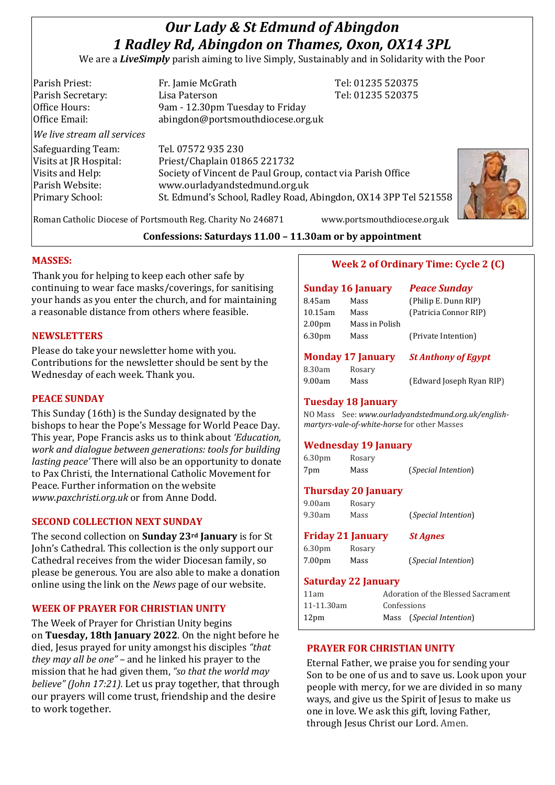# *Our Lady & St Edmund of Abingdon 1 Radley Rd, Abingdon on Thames, Oxon, OX14 3PL*

We are a *LiveSimply* parish aiming to live Simply, Sustainably and in Solidarity with the Poor

| Parish Priest:              | Fr. Jamie McGrath                                               | Tel: 01235 520375 |
|-----------------------------|-----------------------------------------------------------------|-------------------|
| Parish Secretary:           | Lisa Paterson                                                   | Tel: 01235 520375 |
| Office Hours:               | 9am - 12.30pm Tuesday to Friday                                 |                   |
| Office Email:               | abingdon@portsmouthdiocese.org.uk                               |                   |
| We live stream all services |                                                                 |                   |
| Safeguarding Team:          | Tel. 07572 935 230                                              |                   |
| Visits at JR Hospital:      | Priest/Chaplain 01865 221732                                    |                   |
| Visits and Help:            | Society of Vincent de Paul Group, contact via Parish Office     |                   |
| Parish Website:             | www.ourladyandstedmund.org.uk                                   |                   |
| <b>Primary School:</b>      | St. Edmund's School, Radley Road, Abingdon, OX14 3PP Tel 521558 |                   |
|                             |                                                                 |                   |
|                             |                                                                 |                   |



Roman Catholic Diocese of Portsmouth Reg. Charity No 246871 www.portsmouthdiocese.org.uk

## **Confessions: Saturdays 11.00 – 11.30am or by appointment**

## **MASSES:**

Thank you for helping to keep each other safe by continuing to wear face masks/coverings, for sanitising your hands as you enter the church, and for maintaining a reasonable distance from others where feasible.

## **NEWSLETTERS**

Please do take your newsletter home with you. Contributions for the newsletter should be sent by the Wednesday of each week. Thank you.

## **PEACE SUNDAY**

This Sunday (16th) is the Sunday designated by the bishops to hear the Pope's Message for World Peace Day. This year, Pope Francis asks us to think about *'Education, work and dialogue between generations: tools for building lasting peace'* There will also be an opportunity to donate to Pax Christi, the International Catholic Movement for Peace. Further information on the website *www.paxchristi.org.uk* or from Anne Dodd.

#### **SECOND COLLECTION NEXT SUNDAY**

The second collection on **Sunday 23rd January** is for St John's Cathedral. This collection is the only support our Cathedral receives from the wider Diocesan family, so please be generous. You are also able to make a donation online using the link on the *News* page of our website.

## **WEEK OF PRAYER FOR CHRISTIAN UNITY**

The Week of Prayer for Christian Unity begins on **Tuesday, 18th January 2022**. On the night before he died, Jesus prayed for unity amongst his disciples *"that they may all be one"* – and he linked his prayer to the mission that he had given them, *"so that the world may believe" (John 17:21).* Let us pray together, that through our prayers will come trust, friendship and the desire to work together.

## **Week 2 of Ordinary Time: Cycle 2 (C)**

|                    | <b>Sunday 16 January</b> | <b>Peace Sunday</b>   |
|--------------------|--------------------------|-----------------------|
| 8.45am             | Mass                     | (Philip E. Dunn RIP)  |
| 10.15am            | Mass                     | (Patricia Connor RIP) |
| 2.00 <sub>pm</sub> | Mass in Polish           |                       |
| 6.30 <sub>pm</sub> | Mass                     | (Private Intention)   |

# **Monday 17 January** *St Anthony of Egypt*

8.30am Rosary

9.00am Mass (Edward Joseph Ryan RIP)

## **Tuesday 18 January**

NO Mass See: *www.ourladyandstedmund.org.uk/englishmartyrs-vale-of-white-horse* for other Masses

## **Wednesday 19 January**

| 6.30 <sub>pm</sub> | Rosary |                              |
|--------------------|--------|------------------------------|
| 7pm                | Mass   | ( <i>Special Intention</i> ) |

## **Thursday 20 January**

| 9.00am | Rosary |                              |
|--------|--------|------------------------------|
| 9.30am | Mass   | ( <i>Special Intention</i> ) |

| <b>Friday 21 January</b> |        | <b>St Agnes</b>              |
|--------------------------|--------|------------------------------|
| 6.30pm                   | Rosary |                              |
| 7.00pm                   | Mass   | ( <i>Special Intention</i> ) |

#### **Saturday 22 January**

| 11am           | Adoration of the Blessed Sacrament |                                   |
|----------------|------------------------------------|-----------------------------------|
| 11-11.30am     | Confessions                        |                                   |
| $12 \text{pm}$ |                                    | Mass ( <i>Special Intention</i> ) |

## **PRAYER FOR CHRISTIAN UNITY**

Eternal Father, we praise you for sending your Son to be one of us and to save us. Look upon your people with mercy, for we are divided in so many ways, and give us the Spirit of Jesus to make us one in love. We ask this gift, loving Father, through Jesus Christ our Lord. Amen.